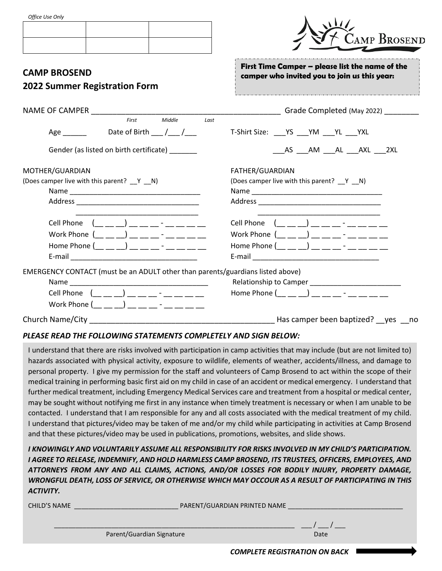| Office Use Only |  |  |
|-----------------|--|--|
|-----------------|--|--|

| עוווט אכט אוןנט                                                                                                                                                                                       | <b>CAMP BROSEND</b>                                                                                                                                                                                                                                                                  |
|-------------------------------------------------------------------------------------------------------------------------------------------------------------------------------------------------------|--------------------------------------------------------------------------------------------------------------------------------------------------------------------------------------------------------------------------------------------------------------------------------------|
| <b>CAMP BROSEND</b><br><b>2022 Summer Registration Form</b>                                                                                                                                           | First Time Camper - please list the name of the<br>camper who invited you to join us this year:                                                                                                                                                                                      |
| NAME OF CAMPER NAME OF CAMPER<br>Middle<br>First<br>Last                                                                                                                                              | Grade Completed (May 2022)                                                                                                                                                                                                                                                           |
| Age Date of Birth / /                                                                                                                                                                                 | T-Shirt Size: YS YM YL YXL                                                                                                                                                                                                                                                           |
| Gender (as listed on birth certificate) _______                                                                                                                                                       | AS AM AL AXL 2XL                                                                                                                                                                                                                                                                     |
| MOTHER/GUARDIAN<br>(Does camper live with this parent? __ Y __ N)                                                                                                                                     | FATHER/GUARDIAN<br>(Does camper live with this parent? __ Y __ N)                                                                                                                                                                                                                    |
| Cell Phone $($ $)$ $)$ $=$ $     -$<br>Work Phone $($ $)$ $)$ $)$ $)$ $      -$<br>Home Phone $(\_\_\_\_\_)\_\_$ $\_\_$ $\_\_$ $\_\_$ $\_\_$ $\_\_$<br>E-mail <u>________________________________</u> | Cell Phone $($ $)$ $)$ $=$ $     -$<br>Work Phone $($ __ _ _ _ _ _ _ _ _ _ _ _ _ _ _ _ _<br>Home Phone $(\_\_\_\_\_$ $\_\_$ $)$ $\_\_$ $\_\_$ $\_\_$ $\_\_$ $\_\_$<br>E-mail and the contract of the contract of the contract of the contract of the contract of the contract of the |
| EMERGENCY CONTACT (must be an ADULT other than parents/guardians listed above)<br>Cell Phone $(\_\_ \_ \_ )$ $(\_\_ \_ \_ )$<br>Work Phone $(\_\_ \_ \_ )$ $(\_\_ \_ \_ )$                            |                                                                                                                                                                                                                                                                                      |
| Church Name/City and the control of the control of the control of the control of the control of the control of                                                                                        | Has camper been baptized? __ yes __ no                                                                                                                                                                                                                                               |

## *PLEASE READ THE FOLLOWING STATEMENTS COMPLETELY AND SIGN BELOW:*

I understand that there are risks involved with participation in camp activities that may include (but are not limited to) hazards associated with physical activity, exposure to wildlife, elements of weather, accidents/illness, and damage to personal property. I give my permission for the staff and volunteers of Camp Brosend to act within the scope of their medical training in performing basic first aid on my child in case of an accident or medical emergency. I understand that further medical treatment, including Emergency Medical Services care and treatment from a hospital or medical center, may be sought without notifying me first in any instance when timely treatment is necessary or when I am unable to be contacted. I understand that I am responsible for any and all costs associated with the medical treatment of my child. I understand that pictures/video may be taken of me and/or my child while participating in activities at Camp Brosend and that these pictures/video may be used in publications, promotions, websites, and slide shows.

*I KNOWINGLY AND VOLUNTARILY ASSUME ALL RESPONSIBILITY FOR RISKS INVOLVED IN MY CHILD'S PARTICIPATION. I AGREE TO RELEASE, INDEMNIFY, AND HOLD HARMLESS CAMP BROSEND, ITS TRUSTEES, OFFICERS, EMPLOYEES, AND ATTORNEYS FROM ANY AND ALL CLAIMS, ACTIONS, AND/OR LOSSES FOR BODILY INJURY, PROPERTY DAMAGE, WRONGFUL DEATH, LOSS OF SERVICE, OR OTHERWISE WHICH MAY OCCOUR AS A RESULT OF PARTICIPATING IN THIS ACTIVITY.*

| CHILD'S NAME              | PARENT/GUARDIAN PRINTED NAME |      |
|---------------------------|------------------------------|------|
| Parent/Guardian Signature |                              | Date |
|                           |                              |      |